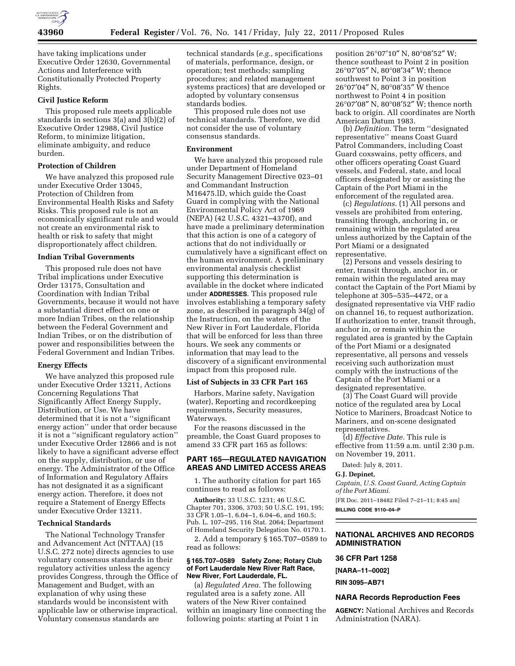

have taking implications under Executive Order 12630, Governmental Actions and Interference with Constitutionally Protected Property Rights.

## **Civil Justice Reform**

This proposed rule meets applicable standards in sections 3(a) and 3(b)(2) of Executive Order 12988, Civil Justice Reform, to minimize litigation, eliminate ambiguity, and reduce burden.

### **Protection of Children**

We have analyzed this proposed rule under Executive Order 13045, Protection of Children from Environmental Health Risks and Safety Risks. This proposed rule is not an economically significant rule and would not create an environmental risk to health or risk to safety that might disproportionately affect children.

### **Indian Tribal Governments**

This proposed rule does not have Tribal implications under Executive Order 13175, Consultation and Coordination with Indian Tribal Governments, because it would not have a substantial direct effect on one or more Indian Tribes, on the relationship between the Federal Government and Indian Tribes, or on the distribution of power and responsibilities between the Federal Government and Indian Tribes.

### **Energy Effects**

We have analyzed this proposed rule under Executive Order 13211, Actions Concerning Regulations That Significantly Affect Energy Supply, Distribution, or Use. We have determined that it is not a ''significant energy action'' under that order because it is not a ''significant regulatory action'' under Executive Order 12866 and is not likely to have a significant adverse effect on the supply, distribution, or use of energy. The Administrator of the Office of Information and Regulatory Affairs has not designated it as a significant energy action. Therefore, it does not require a Statement of Energy Effects under Executive Order 13211.

### **Technical Standards**

The National Technology Transfer and Advancement Act (NTTAA) (15 U.S.C. 272 note) directs agencies to use voluntary consensus standards in their regulatory activities unless the agency provides Congress, through the Office of Management and Budget, with an explanation of why using these standards would be inconsistent with applicable law or otherwise impractical. Voluntary consensus standards are

technical standards (*e.g.,* specifications of materials, performance, design, or operation; test methods; sampling procedures; and related management systems practices) that are developed or adopted by voluntary consensus standards bodies.

This proposed rule does not use technical standards. Therefore, we did not consider the use of voluntary consensus standards.

### **Environment**

We have analyzed this proposed rule under Department of Homeland Security Management Directive 023–01 and Commandant Instruction M16475.lD, which guide the Coast Guard in complying with the National Environmental Policy Act of 1969 (NEPA) (42 U.S.C. 4321–4370f), and have made a preliminary determination that this action is one of a category of actions that do not individually or cumulatively have a significant effect on the human environment. A preliminary environmental analysis checklist supporting this determination is available in the docket where indicated under **ADDRESSES**. This proposed rule involves establishing a temporary safety zone, as described in paragraph 34(g) of the Instruction, on the waters of the New River in Fort Lauderdale, Florida that will be enforced for less than three hours. We seek any comments or information that may lead to the discovery of a significant environmental impact from this proposed rule.

### **List of Subjects in 33 CFR Part 165**

Harbors, Marine safety, Navigation (water), Reporting and recordkeeping requirements, Security measures, Waterways.

For the reasons discussed in the preamble, the Coast Guard proposes to amend 33 CFR part 165 as follows:

## **PART 165—REGULATED NAVIGATION AREAS AND LIMITED ACCESS AREAS**

1. The authority citation for part 165 continues to read as follows:

**Authority:** 33 U.S.C. 1231; 46 U.S.C. Chapter 701, 3306, 3703; 50 U.S.C. 191, 195; 33 CFR 1.05–1, 6.04–1, 6.04–6, and 160.5; Pub. L. 107–295, 116 Stat. 2064; Department of Homeland Security Delegation No. 0170.1.

2. Add a temporary § 165.T07–0589 to read as follows:

### **§ 165.T07–0589 Safety Zone; Rotary Club of Fort Lauderdale New River Raft Race, New River, Fort Lauderdale, FL.**

(a) *Regulated Area.* The following regulated area is a safety zone. All waters of the New River contained within an imaginary line connecting the following points: starting at Point 1 in

position 26°07′10″ N, 80°08′52″ W; thence southeast to Point 2 in position 26°07′05″ N, 80°08′34″ W; thence southwest to Point 3 in position 26°07′04″ N, 80°08′35″ W thence northwest to Point 4 in position 26°07′08″ N, 80°08′52″ W; thence north back to origin. All coordinates are North American Datum 1983.

(b) *Definition.* The term ''designated representative'' means Coast Guard Patrol Commanders, including Coast Guard coxswains, petty officers, and other officers operating Coast Guard vessels, and Federal, state, and local officers designated by or assisting the Captain of the Port Miami in the enforcement of the regulated area.

(c) *Regulations.* (1) All persons and vessels are prohibited from entering, transiting through, anchoring in, or remaining within the regulated area unless authorized by the Captain of the Port Miami or a designated representative.

(2) Persons and vessels desiring to enter, transit through, anchor in, or remain within the regulated area may contact the Captain of the Port Miami by telephone at 305–535–4472, or a designated representative via VHF radio on channel 16, to request authorization. If authorization to enter, transit through, anchor in, or remain within the regulated area is granted by the Captain of the Port Miami or a designated representative, all persons and vessels receiving such authorization must comply with the instructions of the Captain of the Port Miami or a designated representative.

(3) The Coast Guard will provide notice of the regulated area by Local Notice to Mariners, Broadcast Notice to Mariners, and on-scene designated representatives.

(d) *Effective Date.* This rule is effective from 11:59 a.m. until 2:30 p.m. on November 19, 2011.

Dated: July 8, 2011.

#### **G.J. Depinet,**

*Captain, U.S. Coast Guard, Acting Captain of the Port Miami.*  [FR Doc. 2011–18482 Filed 7–21–11; 8:45 am]

**BILLING CODE 9110–04–P** 

## **NATIONAL ARCHIVES AND RECORDS ADMINISTRATION**

### **36 CFR Part 1258**

**[NARA–11–0002]** 

**RIN 3095–AB71** 

#### **NARA Records Reproduction Fees**

**AGENCY:** National Archives and Records Administration (NARA).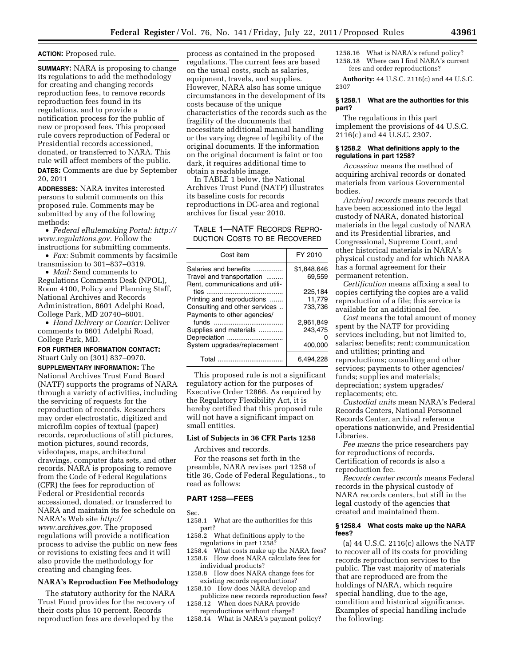### **ACTION:** Proposed rule.

**SUMMARY:** NARA is proposing to change its regulations to add the methodology for creating and changing records reproduction fees, to remove records reproduction fees found in its regulations, and to provide a notification process for the public of new or proposed fees. This proposed rule covers reproduction of Federal or Presidential records accessioned, donated, or transferred to NARA. This rule will affect members of the public. **DATES:** Comments are due by September 20, 2011

**ADDRESSES:** NARA invites interested persons to submit comments on this proposed rule. Comments may be submitted by any of the following methods:

• *Federal eRulemaking Portal: [http://](http://www.regulations.gov)  [www.regulations.gov](http://www.regulations.gov)*. Follow the instructions for submitting comments.

• *Fax:* Submit comments by facsimile transmission to 301–837–0319.

• *Mail:* Send comments to Regulations Comments Desk (NPOL), Room 4100, Policy and Planning Staff, National Archives and Records Administration, 8601 Adelphi Road, College Park, MD 20740–6001.

• *Hand Delivery or Courier:* Deliver comments to 8601 Adelphi Road, College Park, MD.

### **FOR FURTHER INFORMATION CONTACT:**  Stuart Culy on (301) 837–0970.

**SUPPLEMENTARY INFORMATION:** The National Archives Trust Fund Board (NATF) supports the programs of NARA through a variety of activities, including the servicing of requests for the reproduction of records. Researchers may order electrostatic, digitized and microfilm copies of textual (paper) records, reproductions of still pictures, motion pictures, sound records, videotapes, maps, architectural drawings, computer data sets, and other records. NARA is proposing to remove from the Code of Federal Regulations (CFR) the fees for reproduction of Federal or Presidential records accessioned, donated, or transferred to NARA and maintain its fee schedule on NARA's Web site *[http://](http://www.archives.gov) [www.archives.gov.](http://www.archives.gov)* The proposed regulations will provide a notification process to advise the public on new fees or revisions to existing fees and it will also provide the methodology for creating and changing fees.

## **NARA's Reproduction Fee Methodology**

The statutory authority for the NARA Trust Fund provides for the recovery of their costs plus 10 percent. Records reproduction fees are developed by the

process as contained in the proposed regulations. The current fees are based on the usual costs, such as salaries, equipment, travels, and supplies. However, NARA also has some unique circumstances in the development of its costs because of the unique characteristics of the records such as the fragility of the documents that necessitate additional manual handling or the varying degree of legibility of the original documents. If the information on the original document is faint or too dark, it requires additional time to obtain a readable image.

In TABLE 1 below, the National Archives Trust Fund (NATF) illustrates its baseline costs for records reproductions in DC-area and regional archives for fiscal year 2010.

## TABLE 1—NATF RECORDS REPRO-DUCTION COSTS TO BE RECOVERED

| Cost item                                                                             | FY 2010               |
|---------------------------------------------------------------------------------------|-----------------------|
| Salaries and benefits<br>Travel and transportation<br>Rent, communications and utili- | \$1.848.646<br>69.559 |
|                                                                                       | 225.184               |
| Printing and reproductions                                                            | 11.779                |
| Consulting and other services                                                         | 733.736               |
| Payments to other agencies/                                                           |                       |
|                                                                                       | 2.961.849             |
| Supplies and materials                                                                | 243,475               |
| Depreciation                                                                          |                       |
| System upgrades/replacement                                                           | 400.000               |
| Total                                                                                 | 6.494.228             |

This proposed rule is not a significant regulatory action for the purposes of Executive Order 12866. As required by the Regulatory Flexibility Act, it is hereby certified that this proposed rule will not have a significant impact on small entities.

# **List of Subjects in 36 CFR Parts 1258**

Archives and records.

For the reasons set forth in the preamble, NARA revises part 1258 of title 36, Code of Federal Regulations., to read as follows:

#### **PART 1258—FEES**

Sec.

- 1258.1 What are the authorities for this part?
- 1258.2 What definitions apply to the regulations in part 1258?<br>1258.4 What costs make un

What costs make up the NARA fees? 1258.6 How does NARA calculate fees for individual products?

- 1258.8 How does NARA change fees for existing records reproductions?
- 1258.10 How does NARA develop and publicize new records reproduction fees?
- 1258.12 When does NARA provide
- reproductions without charge? 1258.14 What is NARA's payment policy?

1258.16 What is NARA's refund policy? 1258.18 Where can I find NARA's current fees and order reproductions?

**Authority:** 44 U.S.C. 2116(c) and 44 U.S.C. 2307

### **§ 1258.1 What are the authorities for this part?**

The regulations in this part implement the provisions of 44 U.S.C. 2116(c) and 44 U.S.C. 2307.

### **§ 1258.2 What definitions apply to the regulations in part 1258?**

*Accession* means the method of acquiring archival records or donated materials from various Governmental bodies.

*Archival records* means records that have been accessioned into the legal custody of NARA, donated historical materials in the legal custody of NARA and its Presidential libraries, and Congressional, Supreme Court, and other historical materials in NARA's physical custody and for which NARA has a formal agreement for their permanent retention.

*Certification* means affixing a seal to copies certifying the copies are a valid reproduction of a file; this service is available for an additional fee.

*Cost* means the total amount of money spent by the NATF for providing services including, but not limited to, salaries; benefits; rent; communication and utilities; printing and reproductions; consulting and other services; payments to other agencies/ funds; supplies and materials; depreciation; system upgrades/ replacements; etc.

*Custodial units* mean NARA's Federal Records Centers, National Personnel Records Center, archival reference operations nationwide, and Presidential Libraries.

*Fee means* the price researchers pay for reproductions of records. Certification of records is also a reproduction fee.

*Records center records* means Federal records in the physical custody of NARA records centers, but still in the legal custody of the agencies that created and maintained them.

### **§ 1258.4 What costs make up the NARA fees?**

(a) 44 U.S.C. 2116(c) allows the NATF to recover all of its costs for providing records reproduction services to the public. The vast majority of materials that are reproduced are from the holdings of NARA, which require special handling, due to the age, condition and historical significance. Examples of special handling include the following: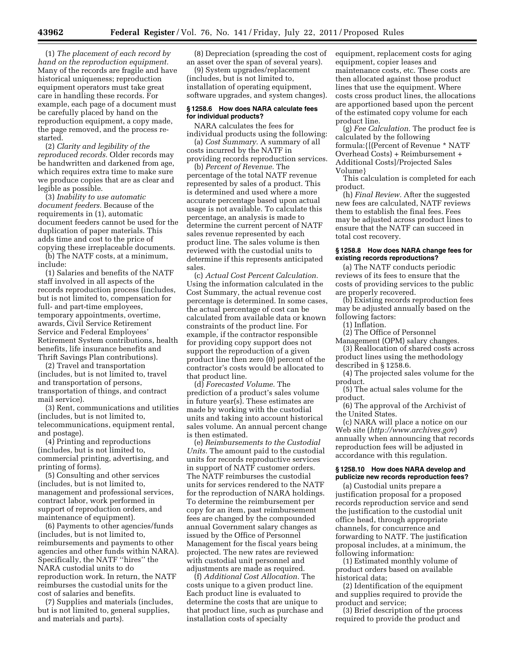(1) *The placement of each record by hand on the reproduction equipment.*  Many of the records are fragile and have historical uniqueness; reproduction equipment operators must take great care in handling these records. For example, each page of a document must be carefully placed by hand on the reproduction equipment, a copy made, the page removed, and the process restarted.

(2) *Clarity and legibility of the reproduced records.* Older records may be handwritten and darkened from age, which requires extra time to make sure we produce copies that are as clear and legible as possible.

(3) *Inability to use automatic document feeders.* Because of the requirements in (1), automatic document feeders cannot be used for the duplication of paper materials. This adds time and cost to the price of copying these irreplaceable documents.

(b) The NATF costs, at a minimum, include:

(1) Salaries and benefits of the NATF staff involved in all aspects of the records reproduction process (includes, but is not limited to, compensation for full- and part-time employees, temporary appointments, overtime, awards, Civil Service Retirement Service and Federal Employees' Retirement System contributions, health benefits, life insurance benefits and Thrift Savings Plan contributions).

(2) Travel and transportation (includes, but is not limited to, travel and transportation of persons, transportation of things, and contract mail service).

(3) Rent, communications and utilities (includes, but is not limited to, telecommunications, equipment rental, and postage).

(4) Printing and reproductions (includes, but is not limited to, commercial printing, advertising, and printing of forms).

(5) Consulting and other services (includes, but is not limited to, management and professional services, contract labor, work performed in support of reproduction orders, and maintenance of equipment).

(6) Payments to other agencies/funds (includes, but is not limited to, reimbursements and payments to other agencies and other funds within NARA). Specifically, the NATF ''hires'' the NARA custodial units to do reproduction work. In return, the NATF reimburses the custodial units for the cost of salaries and benefits.

(7) Supplies and materials (includes, but is not limited to, general supplies, and materials and parts).

(8) Depreciation (spreading the cost of an asset over the span of several years).

(9) System upgrades/replacement (includes, but is not limited to, installation of operating equipment, software upgrades, and system changes).

### **§ 1258.6 How does NARA calculate fees for individual products?**

NARA calculates the fees for individual products using the following: (a) *Cost Summary.* A summary of all costs incurred by the NATF in providing records reproduction services.

(b) *Percent of Revenue.* The percentage of the total NATF revenue represented by sales of a product. This is determined and used where a more accurate percentage based upon actual usage is not available. To calculate this percentage, an analysis is made to determine the current percent of NATF sales revenue represented by each product line. The sales volume is then reviewed with the custodial units to determine if this represents anticipated sales.

(c) *Actual Cost Percent Calculation.*  Using the information calculated in the Cost Summary, the actual revenue cost percentage is determined. In some cases, the actual percentage of cost can be calculated from available data or known constraints of the product line. For example, if the contractor responsible for providing copy support does not support the reproduction of a given product line then zero (0) percent of the contractor's costs would be allocated to that product line.

(d) *Forecasted Volume.* The prediction of a product's sales volume in future year(s). These estimates are made by working with the custodial units and taking into account historical sales volume. An annual percent change is then estimated.

(e) *Reimbursements to the Custodial Units.* The amount paid to the custodial units for records reproductive services in support of NATF customer orders. The NATF reimburses the custodial units for services rendered to the NATF for the reproduction of NARA holdings. To determine the reimbursement per copy for an item, past reimbursement fees are changed by the compounded annual Government salary changes as issued by the Office of Personnel Management for the fiscal years being projected. The new rates are reviewed with custodial unit personnel and adjustments are made as required.

(f) *Additional Cost Allocation.* The costs unique to a given product line. Each product line is evaluated to determine the costs that are unique to that product line, such as purchase and installation costs of specialty

equipment, replacement costs for aging equipment, copier leases and maintenance costs, etc. These costs are then allocated against those product lines that use the equipment. Where costs cross product lines, the allocations are apportioned based upon the percent of the estimated copy volume for each product line.

(g) *Fee Calculation.* The product fee is calculated by the following formula:{[(Percent of Revenue \* NATF Overhead Costs) + Reimbursement + Additional Costs]/Projected Sales Volume}

This calculation is completed for each product.

(h) *Final Review.* After the suggested new fees are calculated, NATF reviews them to establish the final fees. Fees may be adjusted across product lines to ensure that the NATF can succeed in total cost recovery.

### **§ 1258.8 How does NARA change fees for existing records reproductions?**

(a) The NATF conducts periodic reviews of its fees to ensure that the costs of providing services to the public are properly recovered.

(b) Existing records reproduction fees may be adjusted annually based on the following factors:

(1) Inflation.

(2) The Office of Personnel

Management (OPM) salary changes. (3) Reallocation of shared costs across

product lines using the methodology described in § 1258.6.

(4) The projected sales volume for the product.

(5) The actual sales volume for the product.

(6) The approval of the Archivist of the United States.

(c) NARA will place a notice on our Web site (*<http://www.archives.gov>*) annually when announcing that records reproduction fees will be adjusted in accordance with this regulation.

### **§ 1258.10 How does NARA develop and publicize new records reproduction fees?**

(a) Custodial units prepare a justification proposal for a proposed records reproduction service and send the justification to the custodial unit office head, through appropriate channels, for concurrence and forwarding to NATF. The justification proposal includes, at a minimum, the following information:

(1) Estimated monthly volume of product orders based on available historical data;

(2) Identification of the equipment and supplies required to provide the product and service;

(3) Brief description of the process required to provide the product and